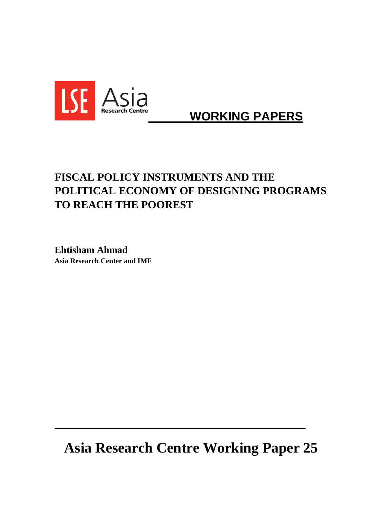

# **WORKING PAPERS**

# **FISCAL POLICY INSTRUMENTS AND THE POLITICAL ECONOMY OF DESIGNING PROGRAMS TO REACH THE POOREST**

**Ehtisham Ahmad Asia Research Center and IMF** 

**Asia Research Centre Working Paper 25** 

**\_\_\_\_\_\_\_\_\_\_\_\_\_\_\_\_\_\_\_\_\_\_\_\_\_\_\_\_\_\_\_\_\_\_\_\_\_\_\_\_\_\_\_\_\_\_\_\_\_\_\_\_\_\_\_\_\_\_\_\_\_\_**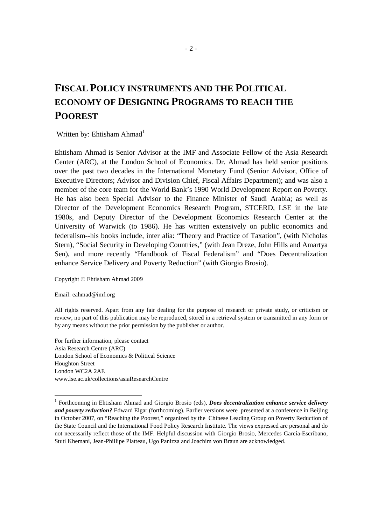# **FISCAL POLICY INSTRUMENTS AND THE POLITICAL ECONOMY OF DESIGNING PROGRAMS TO REACH THE POOREST**

Written by: Ehtisham Ahmad<sup>1</sup>

Ehtisham Ahmad is Senior Advisor at the IMF and Associate Fellow of the Asia Research Center (ARC), at the London School of Economics. Dr. Ahmad has held senior positions over the past two decades in the International Monetary Fund (Senior Advisor, Office of Executive Directors; Advisor and Division Chief, Fiscal Affairs Department); and was also a member of the core team for the World Bank's 1990 World Development Report on Poverty. He has also been Special Advisor to the Finance Minister of Saudi Arabia; as well as Director of the Development Economics Research Program, STCERD, LSE in the late 1980s, and Deputy Director of the Development Economics Research Center at the University of Warwick (to 1986). He has written extensively on public economics and federalism--his books include, inter alia: "Theory and Practice of Taxation", (with Nicholas Stern), "Social Security in Developing Countries," (with Jean Dreze, John Hills and Amartya Sen), and more recently "Handbook of Fiscal Federalism" and "Does Decentralization enhance Service Delivery and Poverty Reduction" (with Giorgio Brosio).

Copyright © Ehtisham Ahmad 2009

Email: eahmad@imf.org

-

All rights reserved. Apart from any fair dealing for the purpose of research or private study, or criticism or review, no part of this publication may be reproduced, stored in a retrieval system or transmitted in any form or by any means without the prior permission by the publisher or author.

For further information, please contact Asia Research Centre (ARC) London School of Economics & Political Science Houghton Street London WC2A 2AE www.lse.ac.uk/collections/asiaResearchCentre

<sup>&</sup>lt;sup>1</sup> Forthcoming in Ehtisham Ahmad and Giorgio Brosio (eds), *Does decentralization enhance service delivery and poverty reduction?* Edward Elgar (forthcoming). Earlier versions were presented at a conference in Beijing in October 2007, on "Reaching the Poorest," organized by the Chinese Leading Group on Poverty Reduction of the State Council and the International Food Policy Research Institute. The views expressed are personal and do not necessarily reflect those of the IMF. Helpful discussion with Giorgio Brosio, Mercedes García-Escribano, Stuti Khemani, Jean-Phillipe Platteau, Ugo Panizza and Joachim von Braun are acknowledged.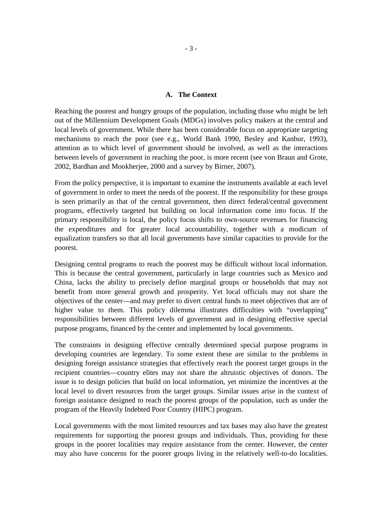#### **A. The Context**

Reaching the poorest and hungry groups of the population, including those who might be left out of the Millennium Development Goals (MDGs) involves policy makers at the central and local levels of government. While there has been considerable focus on appropriate targeting mechanisms to reach the poor (see e.g., World Bank 1990, Besley and Kanbur, 1993), attention as to which level of government should be involved, as well as the interactions between levels of government in reaching the poor, is more recent (see von Braun and Grote, 2002, Bardhan and Mookherjee, 2000 and a survey by Birner, 2007).

From the policy perspective, it is important to examine the instruments available at each level of government in order to meet the needs of the poorest. If the responsibility for these groups is seen primarily as that of the central government, then direct federal/central government programs, effectively targeted but building on local information come into focus. If the primary responsibility is local, the policy focus shifts to own-source revenues for financing the expenditures and for greater local accountability, together with a modicum of equalization transfers so that all local governments have similar capacities to provide for the poorest.

Designing central programs to reach the poorest may be difficult without local information. This is because the central government, particularly in large countries such as Mexico and China, lacks the ability to precisely define marginal groups or households that may not benefit from more general growth and prosperity. Yet local officials may not share the objectives of the center—and may prefer to divert central funds to meet objectives that are of higher value to them. This policy dilemma illustrates difficulties with "overlapping" responsibilities between different levels of government and in designing effective special purpose programs, financed by the center and implemented by local governments.

The constraints in designing effective centrally determined special purpose programs in developing countries are legendary. To some extent these are similar to the problems in designing foreign assistance strategies that effectively reach the poorest target groups in the recipient countries—country elites may not share the altruistic objectives of donors. The issue is to design policies that build on local information, yet minimize the incentives at the local level to divert resources from the target groups. Similar issues arise in the context of foreign assistance designed to reach the poorest groups of the population, such as under the program of the Heavily Indebted Poor Country (HIPC) program.

Local governments with the most limited resources and tax bases may also have the greatest requirements for supporting the poorest groups and individuals. Thus, providing for these groups in the poorer localities may require assistance from the center. However, the center may also have concerns for the poorer groups living in the relatively well-to-do localities.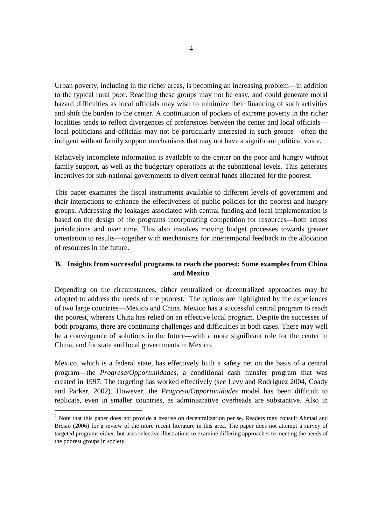Urban poverty, including in the richer areas, is becoming an increasing problem—in addition to the typical rural poor. Reaching these groups may not be easy, and could generate moral hazard difficulties as local officials may wish to minimize their financing of such activities and shift the burden to the center. A continuation of pockets of extreme poverty in the richer localities tends to reflect divergences of preferences between the center and local officials local politicians and officials may not be particularly interested in such groups—often the indigent without family support mechanisms that may not have a significant political voice.

Relatively incomplete information is available to the center on the poor and hungry without family support, as well as the budgetary operations at the subnational levels. This generates incentives for sub-national governments to divert central funds allocated for the poorest.

This paper examines the fiscal instruments available to different levels of government and their interactions to enhance the effectiveness of public policies for the poorest and hungry groups. Addressing the leakages associated with central funding and local implementation is based on the design of the programs incorporating competition for resources—both across jurisdictions and over time. This also involves moving budget processes towards greater orientation to results—together with mechanisms for intertemporal feedback in the allocation of resources in the future.

# **B. Insights from successful programs to reach the poorest: Some examples from China and Mexico**

Depending on the circumstances, either centralized or decentralized approaches may be adopted to address the needs of the poorest.<sup>2</sup> The options are highlighted by the experiences of two large countries—Mexico and China. Mexico has a successful central program to reach the poorest, whereas China has relied on an effective local program. Despite the successes of both programs, there are continuing challenges and difficulties in both cases. There may well be a convergence of solutions in the future—with a more significant role for the center in China, and for state and local governments in Mexico.

Mexico, which is a federal state, has effectively built a safety net on the basis of a central program—the *Progresa/Opportunidades*, a conditional cash transfer program that was created in 1997. The targeting has worked effectively (see Levy and Rodriguez 2004, Coady and Parker, 2002). However, the *Progresa/Opportunidades* model has been difficult to replicate, even in smaller countries, as administrative overheads are substantive. Also in

-

 $2$  Note that this paper does not provide a treatise on decentralization per se. Readers may consult Ahmad and Brosio (2006) for a review of the more recent literature in this area. The paper does not attempt a survey of targeted programs either, but uses selective illustrations to examine differing approaches to meeting the needs of the poorest groups in society.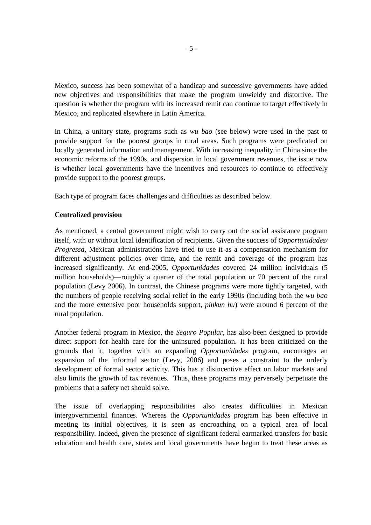Mexico, success has been somewhat of a handicap and successive governments have added new objectives and responsibilities that make the program unwieldy and distortive. The question is whether the program with its increased remit can continue to target effectively in Mexico, and replicated elsewhere in Latin America.

In China, a unitary state, programs such as *wu bao* (see below) were used in the past to provide support for the poorest groups in rural areas. Such programs were predicated on locally generated information and management. With increasing inequality in China since the economic reforms of the 1990s, and dispersion in local government revenues, the issue now is whether local governments have the incentives and resources to continue to effectively provide support to the poorest groups.

Each type of program faces challenges and difficulties as described below.

### **Centralized provision**

As mentioned, a central government might wish to carry out the social assistance program itself, with or without local identification of recipients. Given the success of *Opportunidades/ Progressa,* Mexican administrations have tried to use it as a compensation mechanism for different adjustment policies over time, and the remit and coverage of the program has increased significantly. At end-2005, *Opportunidades* covered 24 million individuals (5 million households)—roughly a quarter of the total population or 70 percent of the rural population (Levy 2006). In contrast, the Chinese programs were more tightly targeted, with the numbers of people receiving social relief in the early 1990s (including both the *wu bao*  and the more extensive poor households support, *pinkun hu*) were around 6 percent of the rural population.

Another federal program in Mexico, the *Seguro Popular*, has also been designed to provide direct support for health care for the uninsured population. It has been criticized on the grounds that it, together with an expanding *Opportunidades* program, encourages an expansion of the informal sector (Levy, 2006) and poses a constraint to the orderly development of formal sector activity. This has a disincentive effect on labor markets and also limits the growth of tax revenues. Thus, these programs may perversely perpetuate the problems that a safety net should solve.

The issue of overlapping responsibilities also creates difficulties in Mexican intergovernmental finances. Whereas the *Opportunidades* program has been effective in meeting its initial objectives, it is seen as encroaching on a typical area of local responsibility. Indeed, given the presence of significant federal earmarked transfers for basic education and health care, states and local governments have begun to treat these areas as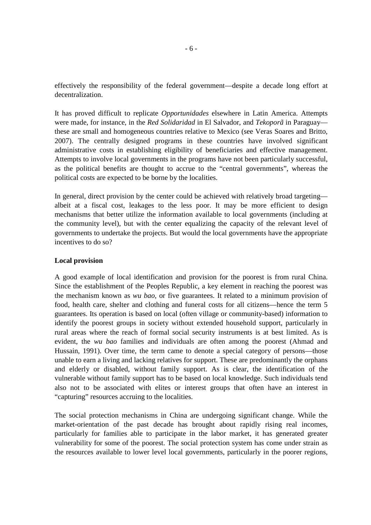effectively the responsibility of the federal government—despite a decade long effort at decentralization.

It has proved difficult to replicate *Opportunidades* elsewhere in Latin America. Attempts were made, for instance, in the *Red Solidaridad* in El Salvador, and *Tekoporã* in Paraguay these are small and homogeneous countries relative to Mexico (see Veras Soares and Britto, 2007). The centrally designed programs in these countries have involved significant administrative costs in establishing eligibility of beneficiaries and effective management. Attempts to involve local governments in the programs have not been particularly successful, as the political benefits are thought to accrue to the "central governments", whereas the political costs are expected to be borne by the localities.

In general, direct provision by the center could be achieved with relatively broad targeting albeit at a fiscal cost, leakages to the less poor. It may be more efficient to design mechanisms that better utilize the information available to local governments (including at the community level), but with the center equalizing the capacity of the relevant level of governments to undertake the projects. But would the local governments have the appropriate incentives to do so?

### **Local provision**

A good example of local identification and provision for the poorest is from rural China. Since the establishment of the Peoples Republic, a key element in reaching the poorest was the mechanism known as *wu bao,* or five guarantees. It related to a minimum provision of food, health care, shelter and clothing and funeral costs for all citizens—hence the term 5 guarantees. Its operation is based on local (often village or community-based) information to identify the poorest groups in society without extended household support, particularly in rural areas where the reach of formal social security instruments is at best limited. As is evident, the *wu bao* families and individuals are often among the poorest (Ahmad and Hussain, 1991). Over time, the term came to denote a special category of persons—those unable to earn a living and lacking relatives for support. These are predominantly the orphans and elderly or disabled, without family support. As is clear, the identification of the vulnerable without family support has to be based on local knowledge. Such individuals tend also not to be associated with elites or interest groups that often have an interest in "capturing" resources accruing to the localities.

The social protection mechanisms in China are undergoing significant change. While the market-orientation of the past decade has brought about rapidly rising real incomes, particularly for families able to participate in the labor market, it has generated greater vulnerability for some of the poorest. The social protection system has come under strain as the resources available to lower level local governments, particularly in the poorer regions,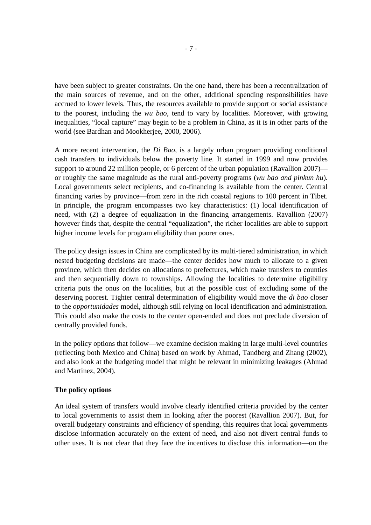have been subject to greater constraints. On the one hand, there has been a recentralization of the main sources of revenue, and on the other, additional spending responsibilities have accrued to lower levels. Thus, the resources available to provide support or social assistance to the poorest, including the *wu bao*, tend to vary by localities. Moreover, with growing inequalities, "local capture" may begin to be a problem in China, as it is in other parts of the world (see Bardhan and Mookherjee, 2000, 2006).

A more recent intervention, the *Di Bao*, is a largely urban program providing conditional cash transfers to individuals below the poverty line. It started in 1999 and now provides support to around 22 million people, or 6 percent of the urban population (Ravallion 2007) or roughly the same magnitude as the rural anti-poverty programs (*wu bao and pinkun hu*). Local governments select recipients, and co-financing is available from the center. Central financing varies by province—from zero in the rich coastal regions to 100 percent in Tibet. In principle, the program encompasses two key characteristics: (1) local identification of need, with (2) a degree of equalization in the financing arrangements. Ravallion (2007) however finds that, despite the central "equalization", the richer localities are able to support higher income levels for program eligibility than poorer ones.

The policy design issues in China are complicated by its multi-tiered administration, in which nested budgeting decisions are made—the center decides how much to allocate to a given province, which then decides on allocations to prefectures, which make transfers to counties and then sequentially down to townships. Allowing the localities to determine eligibility criteria puts the onus on the localities, but at the possible cost of excluding some of the deserving poorest. Tighter central determination of eligibility would move the *di bao* closer to the *opportunidades* model, although still relying on local identification and administration. This could also make the costs to the center open-ended and does not preclude diversion of centrally provided funds.

In the policy options that follow—we examine decision making in large multi-level countries (reflecting both Mexico and China) based on work by Ahmad, Tandberg and Zhang (2002), and also look at the budgeting model that might be relevant in minimizing leakages (Ahmad and Martinez, 2004).

### **The policy options**

An ideal system of transfers would involve clearly identified criteria provided by the center to local governments to assist them in looking after the poorest (Ravallion 2007). But, for overall budgetary constraints and efficiency of spending, this requires that local governments disclose information accurately on the extent of need, and also not divert central funds to other uses. It is not clear that they face the incentives to disclose this information—on the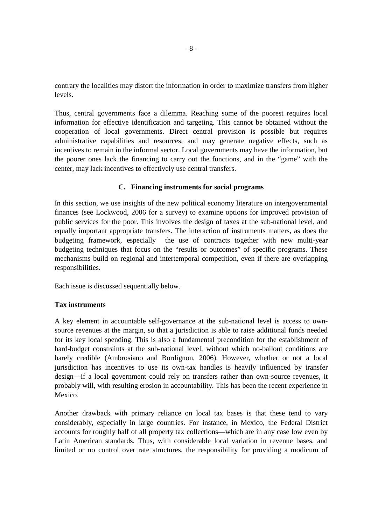contrary the localities may distort the information in order to maximize transfers from higher levels.

Thus, central governments face a dilemma. Reaching some of the poorest requires local information for effective identification and targeting. This cannot be obtained without the cooperation of local governments. Direct central provision is possible but requires administrative capabilities and resources, and may generate negative effects, such as incentives to remain in the informal sector. Local governments may have the information, but the poorer ones lack the financing to carry out the functions, and in the "game" with the center, may lack incentives to effectively use central transfers.

### **C. Financing instruments for social programs**

In this section, we use insights of the new political economy literature on intergovernmental finances (see Lockwood, 2006 for a survey) to examine options for improved provision of public services for the poor. This involves the design of taxes at the sub-national level, and equally important appropriate transfers. The interaction of instruments matters, as does the budgeting framework, especially the use of contracts together with new multi-year budgeting techniques that focus on the "results or outcomes" of specific programs. These mechanisms build on regional and intertemporal competition, even if there are overlapping responsibilities.

Each issue is discussed sequentially below.

### **Tax instruments**

A key element in accountable self-governance at the sub-national level is access to ownsource revenues at the margin, so that a jurisdiction is able to raise additional funds needed for its key local spending. This is also a fundamental precondition for the establishment of hard-budget constraints at the sub-national level, without which no-bailout conditions are barely credible (Ambrosiano and Bordignon, 2006). However, whether or not a local jurisdiction has incentives to use its own-tax handles is heavily influenced by transfer design—if a local government could rely on transfers rather than own-source revenues, it probably will, with resulting erosion in accountability. This has been the recent experience in Mexico.

Another drawback with primary reliance on local tax bases is that these tend to vary considerably, especially in large countries. For instance, in Mexico, the Federal District accounts for roughly half of all property tax collections—which are in any case low even by Latin American standards. Thus, with considerable local variation in revenue bases, and limited or no control over rate structures, the responsibility for providing a modicum of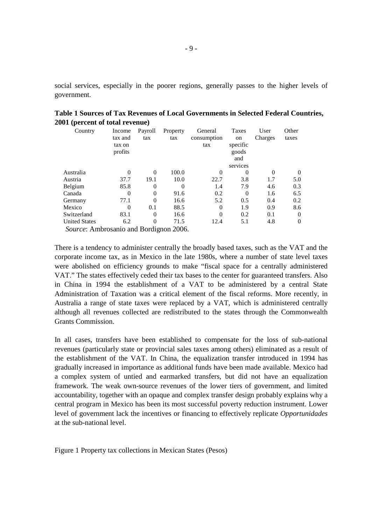social services, especially in the poorer regions, generally passes to the higher levels of government.

| ч.                                                                        |                                        |                |                 |                               |                                         |                 |                |
|---------------------------------------------------------------------------|----------------------------------------|----------------|-----------------|-------------------------------|-----------------------------------------|-----------------|----------------|
| Country                                                                   | Income<br>tax and<br>tax on<br>profits | Payroll<br>tax | Property<br>tax | General<br>consumption<br>tax | Taxes<br>on<br>specific<br>goods<br>and | User<br>Charges | Other<br>taxes |
|                                                                           |                                        |                |                 |                               | services                                |                 |                |
| Australia                                                                 | 0                                      | $\Omega$       | 100.0           | $\Omega$                      | 0                                       | $\Omega$        | $\left($       |
| Austria                                                                   | 37.7                                   | 19.1           | 10.0            | 22.7                          | 3.8                                     | 1.7             | 5.0            |
| Belgium                                                                   | 85.8                                   | 0              |                 | 1.4                           | 7.9                                     | 4.6             | 0.3            |
| Canada                                                                    | $\theta$                               | $\Omega$       | 91.6            | 0.2                           | $\Omega$                                | 1.6             | 6.5            |
| Germany                                                                   | 77.1                                   | $\Omega$       | 16.6            | 5.2                           | 0.5                                     | 0.4             | 0.2            |
| Mexico                                                                    | $\theta$                               | 0.1            | 88.5            | $\Omega$                      | 1.9                                     | 0.9             | 8.6            |
| Switzerland                                                               | 83.1                                   | $\Omega$       | 16.6            | $\Omega$                      | 0.2                                     | 0.1             | $\Omega$       |
| <b>United States</b>                                                      | 6.2                                    | 0              | 71.5            | 12.4                          | 5.1                                     | 4.8             | $\Omega$       |
| $\alpha$ and $\alpha$ and $\alpha$ and $\alpha$ and $\alpha$ and $\alpha$ |                                        |                | $\Delta \Omega$ |                               |                                         |                 |                |

| Table 1 Sources of Tax Revenues of Local Governments in Selected Federal Countries, |
|-------------------------------------------------------------------------------------|
| 2001 (percent of total revenue)                                                     |

*Source*: Ambrosanio and Bordignon 2006.

There is a tendency to administer centrally the broadly based taxes, such as the VAT and the corporate income tax, as in Mexico in the late 1980s, where a number of state level taxes were abolished on efficiency grounds to make "fiscal space for a centrally administered VAT." The states effectively ceded their tax bases to the center for guaranteed transfers. Also in China in 1994 the establishment of a VAT to be administered by a central State Administration of Taxation was a critical element of the fiscal reforms. More recently, in Australia a range of state taxes were replaced by a VAT, which is administered centrally although all revenues collected are redistributed to the states through the Commonwealth Grants Commission.

In all cases, transfers have been established to compensate for the loss of sub-national revenues (particularly state or provincial sales taxes among others) eliminated as a result of the establishment of the VAT. In China, the equalization transfer introduced in 1994 has gradually increased in importance as additional funds have been made available. Mexico had a complex system of untied and earmarked transfers, but did not have an equalization framework. The weak own-source revenues of the lower tiers of government, and limited accountability, together with an opaque and complex transfer design probably explains why a central program in Mexico has been its most successful poverty reduction instrument. Lower level of government lack the incentives or financing to effectively replicate *Opportunidades* at the sub-national level.

Figure 1 Property tax collections in Mexican States (Pesos)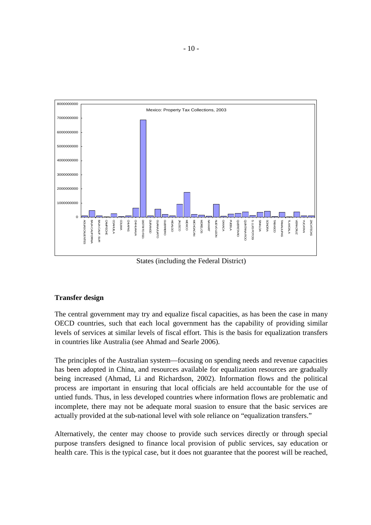

States (including the Federal District)

# **Transfer design**

The central government may try and equalize fiscal capacities, as has been the case in many OECD countries, such that each local government has the capability of providing similar levels of services at similar levels of fiscal effort. This is the basis for equalization transfers in countries like Australia (see Ahmad and Searle 2006).

The principles of the Australian system—focusing on spending needs and revenue capacities has been adopted in China, and resources available for equalization resources are gradually being increased (Ahmad, Li and Richardson, 2002). Information flows and the political process are important in ensuring that local officials are held accountable for the use of untied funds. Thus, in less developed countries where information flows are problematic and incomplete, there may not be adequate moral suasion to ensure that the basic services are actually provided at the sub-national level with sole reliance on "equalization transfers."

Alternatively, the center may choose to provide such services directly or through special purpose transfers designed to finance local provision of public services, say education or health care. This is the typical case, but it does not guarantee that the poorest will be reached,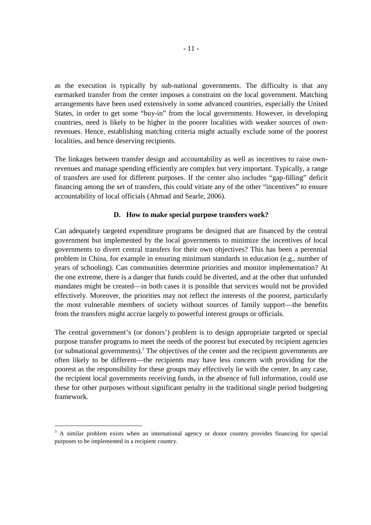as the execution is typically by sub-national governments. The difficulty is that any earmarked transfer from the center imposes a constraint on the local government. Matching arrangements have been used extensively in some advanced countries, especially the United States, in order to get some "buy-in" from the local governments. However, in developing countries, need is likely to be higher in the poorer localities with weaker sources of ownrevenues. Hence, establishing matching criteria might actually exclude some of the poorest localities, and hence deserving recipients.

The linkages between transfer design and accountability as well as incentives to raise ownrevenues and manage spending efficiently are complex but very important. Typically, a range of transfers are used for different purposes. If the center also includes "gap-filling" deficit financing among the set of transfers, this could vitiate any of the other "incentives" to ensure accountability of local officials (Ahmad and Searle, 2006).

### **D. How to make special purpose transfers work?**

Can adequately targeted expenditure programs be designed that are financed by the central government but implemented by the local governments to minimize the incentives of local governments to divert central transfers for their own objectives? This has been a perennial problem in China, for example in ensuring minimum standards in education (e.g., number of years of schooling). Can communities determine priorities and monitor implementation? At the one extreme, there is a danger that funds could be diverted, and at the other that unfunded mandates might be created—in both cases it is possible that services would not be provided effectively. Moreover, the priorities may not reflect the interests of the poorest, particularly the most vulnerable members of society without sources of family support—the benefits from the transfers might accrue largely to powerful interest groups or officials.

The central government's (or donors') problem is to design appropriate targeted or special purpose transfer programs to meet the needs of the poorest but executed by recipient agencies (or subnational governments).<sup>3</sup> The objectives of the center and the recipient governments are often likely to be different—the recipients may have less concern with providing for the poorest as the responsibility for these groups may effectively lie with the center. In any case, the recipient local governments receiving funds, in the absence of full information, could use these for other purposes without significant penalty in the traditional single period budgeting framework.

-

<sup>&</sup>lt;sup>3</sup> A similar problem exists when an international agency or donor country provides financing for special purposes to be implemented in a recipient country.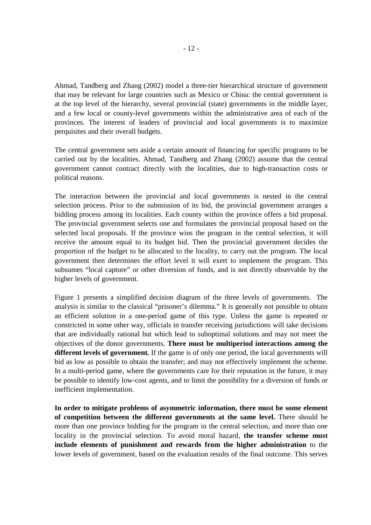Ahmad, Tandberg and Zhang (2002) model a three-tier hierarchical structure of government that may be relevant for large countries such as Mexico or China: the central government is at the top level of the hierarchy, several provincial (state) governments in the middle layer, and a few local or county-level governments within the administrative area of each of the provinces. The interest of leaders of provincial and local governments is to maximize perquisites and their overall budgets.

The central government sets aside a certain amount of financing for specific programs to be carried out by the localities. Ahmad, Tandberg and Zhang (2002) assume that the central government cannot contract directly with the localities, due to high-transaction costs or political reasons.

The interaction between the provincial and local governments is nested in the central selection process. Prior to the submission of its bid, the provincial government arranges a bidding process among its localities. Each county within the province offers a bid proposal. The provincial government selects one and formulates the provincial proposal based on the selected local proposals. If the province wins the program in the central selection, it will receive the amount equal to its budget bid. Then the provincial government decides the proportion of the budget to be allocated to the locality, to carry out the program. The local government then determines the effort level it will exert to implement the program. This subsumes "local capture" or other diversion of funds, and is not directly observable by the higher levels of government.

Figure 1 presents a simplified decision diagram of the three levels of governments. The analysis is similar to the classical "prisoner's dilemma." It is generally not possible to obtain an efficient solution in a one-period game of this type. Unless the game is repeated or constricted in some other way, officials in transfer receiving jurisdictions will take decisions that are individually rational but which lead to suboptimal solutions and may not meet the objectives of the donor governments. **There must be multiperiod interactions among the different levels of government***.* If the game is of only one period, the local governments will bid as low as possible to obtain the transfer; and may not effectively implement the scheme. In a multi-period game, where the governments care for their reputation in the future, it may be possible to identify low-cost agents, and to limit the possibility for a diversion of funds or inefficient implementation.

**In order to mitigate problems of asymmetric information, there must be some element of competition between the different governments at the same level.** There should be more than one province bidding for the program in the central selection, and more than one locality in the provincial selection. To avoid moral hazard, **the transfer scheme must include elements of punishment and rewards from the higher administration** to the lower levels of government, based on the evaluation results of the final outcome. This serves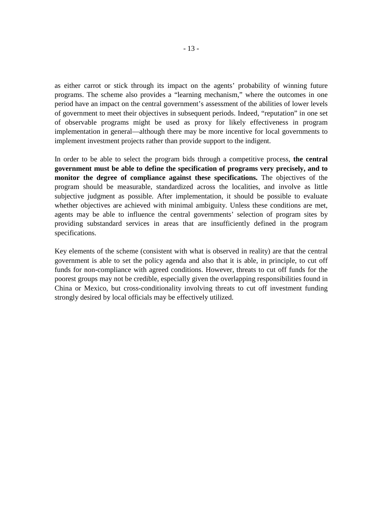as either carrot or stick through its impact on the agents' probability of winning future programs. The scheme also provides a "learning mechanism," where the outcomes in one period have an impact on the central government's assessment of the abilities of lower levels of government to meet their objectives in subsequent periods. Indeed, "reputation" in one set of observable programs might be used as proxy for likely effectiveness in program implementation in general—although there may be more incentive for local governments to implement investment projects rather than provide support to the indigent.

In order to be able to select the program bids through a competitive process, **the central government must be able to define the specification of programs very precisely, and to monitor the degree of compliance against these specifications.** The objectives of the program should be measurable, standardized across the localities, and involve as little subjective judgment as possible. After implementation, it should be possible to evaluate whether objectives are achieved with minimal ambiguity. Unless these conditions are met, agents may be able to influence the central governments' selection of program sites by providing substandard services in areas that are insufficiently defined in the program specifications.

Key elements of the scheme (consistent with what is observed in reality) are that the central government is able to set the policy agenda and also that it is able, in principle, to cut off funds for non-compliance with agreed conditions. However, threats to cut off funds for the poorest groups may not be credible, especially given the overlapping responsibilities found in China or Mexico, but cross-conditionality involving threats to cut off investment funding strongly desired by local officials may be effectively utilized.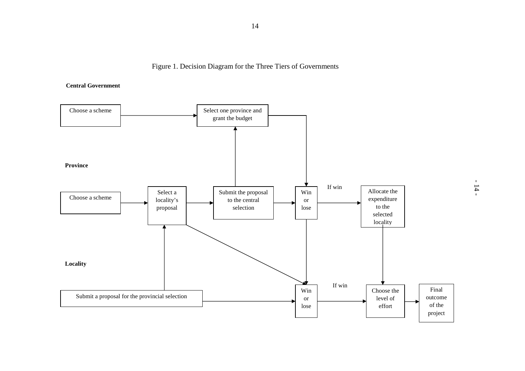Figure 1. Decision Diagram for the Three Tiers of Governments

**Central Government** 

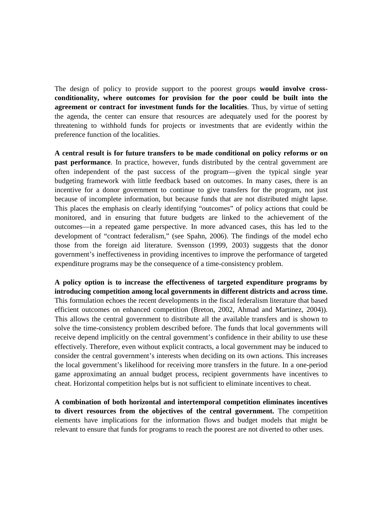The design of policy to provide support to the poorest groups **would involve crossconditionality, where outcomes for provision for the poor could be built into the agreement or contract for investment funds for the localities**. Thus, by virtue of setting the agenda, the center can ensure that resources are adequately used for the poorest by threatening to withhold funds for projects or investments that are evidently within the preference function of the localities.

**A central result is for future transfers to be made conditional on policy reforms or on past performance**. In practice, however, funds distributed by the central government are often independent of the past success of the program—given the typical single year budgeting framework with little feedback based on outcomes. In many cases, there is an incentive for a donor government to continue to give transfers for the program, not just because of incomplete information, but because funds that are not distributed might lapse. This places the emphasis on clearly identifying "outcomes" of policy actions that could be monitored, and in ensuring that future budgets are linked to the achievement of the outcomes—in a repeated game perspective. In more advanced cases, this has led to the development of "contract federalism," (see Spahn, 2006). The findings of the model echo those from the foreign aid literature. Svensson (1999, 2003) suggests that the donor government's ineffectiveness in providing incentives to improve the performance of targeted expenditure programs may be the consequence of a time-consistency problem.

**A policy option is to increase the effectiveness of targeted expenditure programs by introducing competition among local governments in different districts and across time.** This formulation echoes the recent developments in the fiscal federalism literature that based efficient outcomes on enhanced competition (Breton, 2002, Ahmad and Martinez, 2004)). This allows the central government to distribute all the available transfers and is shown to solve the time-consistency problem described before. The funds that local governments will receive depend implicitly on the central government's confidence in their ability to use these effectively. Therefore, even without explicit contracts, a local government may be induced to consider the central government's interests when deciding on its own actions. This increases the local government's likelihood for receiving more transfers in the future. In a one-period game approximating an annual budget process, recipient governments have incentives to cheat. Horizontal competition helps but is not sufficient to eliminate incentives to cheat.

**A combination of both horizontal and intertemporal competition eliminates incentives to divert resources from the objectives of the central government.** The competition elements have implications for the information flows and budget models that might be relevant to ensure that funds for programs to reach the poorest are not diverted to other uses.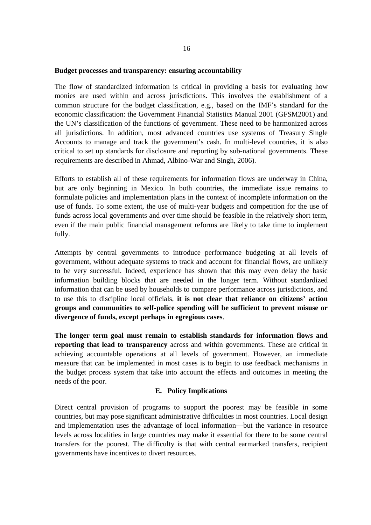#### **Budget processes and transparency: ensuring accountability**

The flow of standardized information is critical in providing a basis for evaluating how monies are used within and across jurisdictions. This involves the establishment of a common structure for the budget classification, e.g., based on the IMF's standard for the economic classification: the Government Financial Statistics Manual 2001 (GFSM2001) and the UN's classification of the functions of government. These need to be harmonized across all jurisdictions. In addition, most advanced countries use systems of Treasury Single Accounts to manage and track the government's cash. In multi-level countries, it is also critical to set up standards for disclosure and reporting by sub-national governments. These requirements are described in Ahmad, Albino-War and Singh, 2006).

Efforts to establish all of these requirements for information flows are underway in China, but are only beginning in Mexico. In both countries, the immediate issue remains to formulate policies and implementation plans in the context of incomplete information on the use of funds. To some extent, the use of multi-year budgets and competition for the use of funds across local governments and over time should be feasible in the relatively short term, even if the main public financial management reforms are likely to take time to implement fully.

Attempts by central governments to introduce performance budgeting at all levels of government, without adequate systems to track and account for financial flows, are unlikely to be very successful. Indeed, experience has shown that this may even delay the basic information building blocks that are needed in the longer term. Without standardized information that can be used by households to compare performance across jurisdictions, and to use this to discipline local officials, **it is not clear that reliance on citizens' action groups and communities to self-police spending will be sufficient to prevent misuse or divergence of funds, except perhaps in egregious cases**.

**The longer term goal must remain to establish standards for information flows and reporting that lead to transparency** across and within governments. These are critical in achieving accountable operations at all levels of government. However, an immediate measure that can be implemented in most cases is to begin to use feedback mechanisms in the budget process system that take into account the effects and outcomes in meeting the needs of the poor.

#### **E. Policy Implications**

Direct central provision of programs to support the poorest may be feasible in some countries, but may pose significant administrative difficulties in most countries. Local design and implementation uses the advantage of local information—but the variance in resource levels across localities in large countries may make it essential for there to be some central transfers for the poorest. The difficulty is that with central earmarked transfers, recipient governments have incentives to divert resources.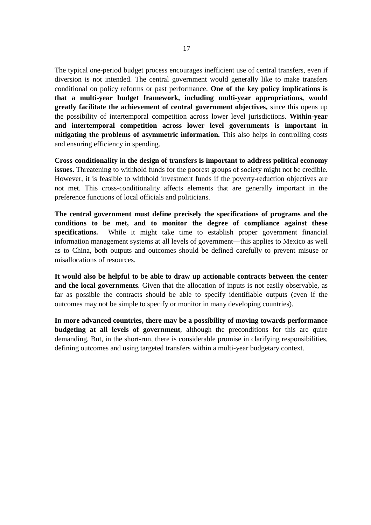The typical one-period budget process encourages inefficient use of central transfers, even if diversion is not intended. The central government would generally like to make transfers conditional on policy reforms or past performance. **One of the key policy implications is that a multi-year budget framework, including multi-year appropriations, would greatly facilitate the achievement of central government objectives,** since this opens up the possibility of intertemporal competition across lower level jurisdictions. **Within-year and intertemporal competition across lower level governments is important in mitigating the problems of asymmetric information.** This also helps in controlling costs and ensuring efficiency in spending.

**Cross-conditionality in the design of transfers is important to address political economy issues.** Threatening to withhold funds for the poorest groups of society might not be credible. However, it is feasible to withhold investment funds if the poverty-reduction objectives are not met. This cross-conditionality affects elements that are generally important in the preference functions of local officials and politicians.

**The central government must define precisely the specifications of programs and the conditions to be met, and to monitor the degree of compliance against these specifications.** While it might take time to establish proper government financial information management systems at all levels of government—this applies to Mexico as well as to China, both outputs and outcomes should be defined carefully to prevent misuse or misallocations of resources.

**It would also be helpful to be able to draw up actionable contracts between the center and the local governments**. Given that the allocation of inputs is not easily observable, as far as possible the contracts should be able to specify identifiable outputs (even if the outcomes may not be simple to specify or monitor in many developing countries).

**In more advanced countries, there may be a possibility of moving towards performance budgeting at all levels of government**, although the preconditions for this are quire demanding. But, in the short-run, there is considerable promise in clarifying responsibilities, defining outcomes and using targeted transfers within a multi-year budgetary context.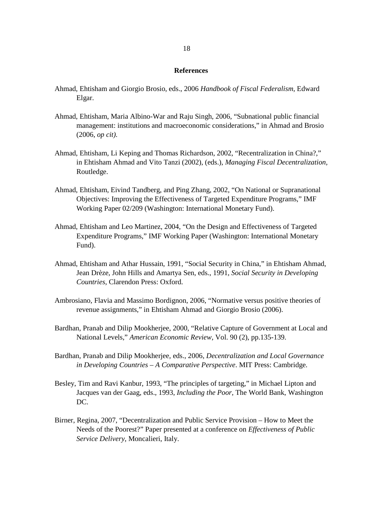#### **References**

- Ahmad, Ehtisham and Giorgio Brosio, eds., 2006 *Handbook of Fiscal Federalism,* Edward Elgar.
- Ahmad, Ehtisham, Maria Albino-War and Raju Singh, 2006, "Subnational public financial management: institutions and macroeconomic considerations," in Ahmad and Brosio (2006, *op cit).*
- Ahmad, Ehtisham, Li Keping and Thomas Richardson, 2002, "Recentralization in China?," in Ehtisham Ahmad and Vito Tanzi (2002), (eds.), *Managing Fiscal Decentralization,*  Routledge.
- Ahmad, Ehtisham, Eivind Tandberg, and Ping Zhang, 2002, "On National or Supranational Objectives: Improving the Effectiveness of Targeted Expenditure Programs," IMF Working Paper 02/209 (Washington: International Monetary Fund).
- Ahmad, Ehtisham and Leo Martinez, 2004, "On the Design and Effectiveness of Targeted Expenditure Programs," IMF Working Paper (Washington: International Monetary Fund).
- Ahmad, Ehtisham and Athar Hussain, 1991, "Social Security in China," in Ehtisham Ahmad, Jean Drèze, John Hills and Amartya Sen, eds., 1991, *Social Security in Developing Countries,* Clarendon Press: Oxford.
- Ambrosiano, Flavia and Massimo Bordignon, 2006, "Normative versus positive theories of revenue assignments," in Ehtisham Ahmad and Giorgio Brosio (2006).
- Bardhan, Pranab and Dilip Mookherjee, 2000, "Relative Capture of Government at Local and National Levels," *American Economic Review*, Vol. 90 (2), pp.135-139.
- Bardhan, Pranab and Dilip Mookherjee, eds., 2006, *Decentralization and Local Governance in Developing Countries – A Comparative Perspective*. MIT Press: Cambridge.
- Besley, Tim and Ravi Kanbur, 1993, "The principles of targeting," in Michael Lipton and Jacques van der Gaag, eds., 1993, *Including the Poor,* The World Bank, Washington DC.
- Birner, Regina, 2007, "Decentralization and Public Service Provision How to Meet the Needs of the Poorest?" Paper presented at a conference on *Effectiveness of Public Service Delivery*, Moncalieri, Italy.